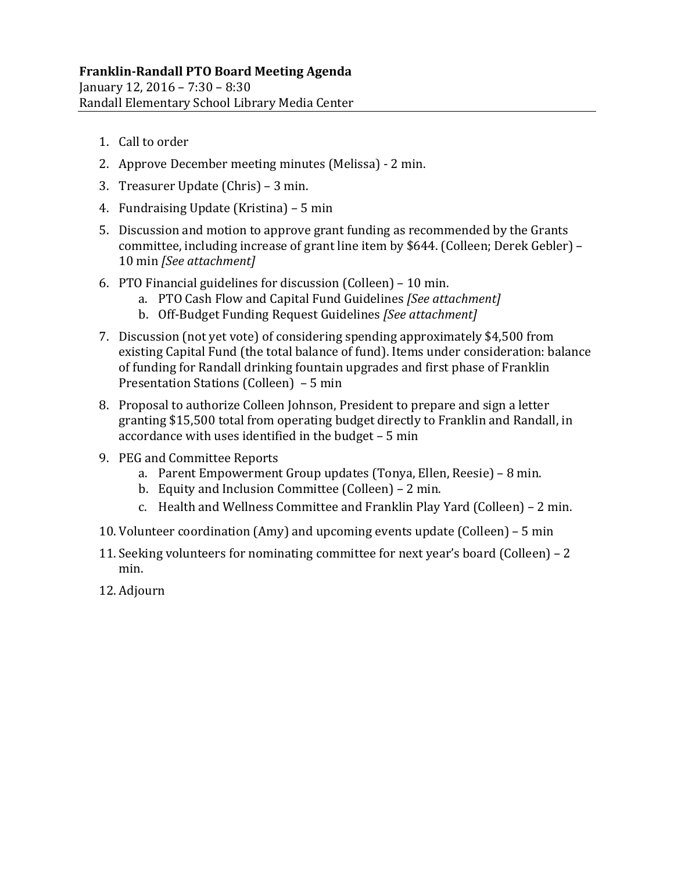- 1. Call to order
- 2. Approve December meeting minutes (Melissa) 2 min.
- 3. Treasurer Update  $(Christ) 3$  min.
- 4. Fundraising Update (Kristina) 5 min
- 5. Discussion and motion to approve grant funding as recommended by the Grants committee, including increase of grant line item by \$644. (Colleen; Derek Gebler) – 10 min *[See attachment]*
- 6. PTO Financial guidelines for discussion  $(Colleen) 10$  min.
	- a. PTO Cash Flow and Capital Fund Guidelines *[See attachment]*
	- b. Off‐Budget Funding Request Guidelines *[See attachment]*
- 7. Discussion (not yet vote) of considering spending approximately \$4,500 from existing Capital Fund (the total balance of fund). Items under consideration: balance of funding for Randall drinking fountain upgrades and first phase of Franklin Presentation Stations  $(Colleen) - 5 min$
- 8. Proposal to authorize Colleen Johnson, President to prepare and sign a letter granting \$15,500 total from operating budget directly to Franklin and Randall, in accordance with uses identified in the budget  $-5$  min
- 9. PEG and Committee Reports
	- a. Parent Empowerment Group updates (Tonya, Ellen, Reesie) 8 min.
	- b. Equity and Inclusion Committee (Colleen) 2 min.
	- c. Health and Wellness Committee and Franklin Play Yard (Colleen) 2 min.
- 10. Volunteer coordination  $(Amy)$  and upcoming events update  $(Colleen) 5$  min
- 11. Seeking volunteers for nominating committee for next year's board (Colleen)  $-2$ min.
- 12. Adjourn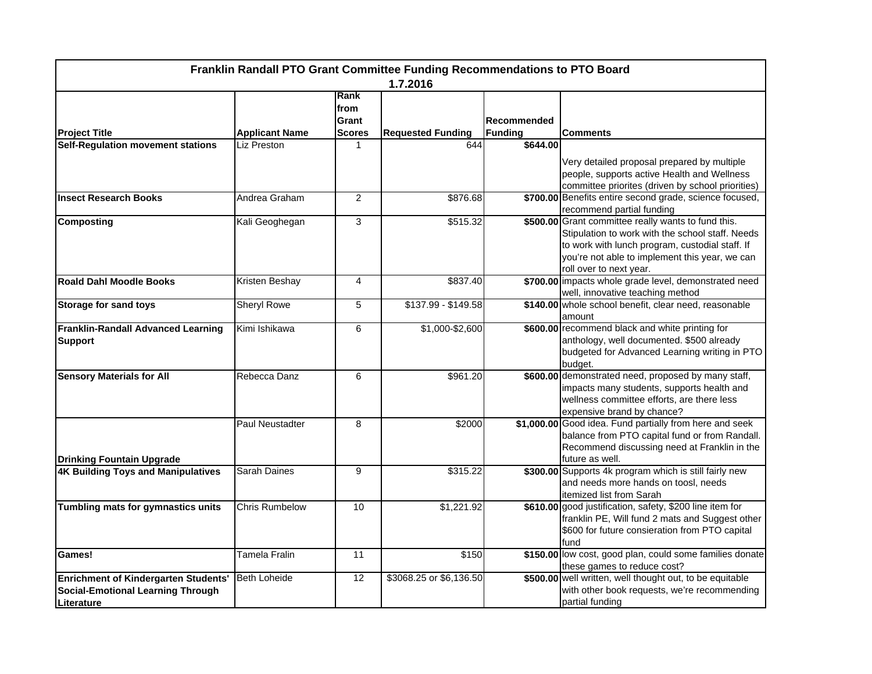| Franklin Randall PTO Grant Committee Funding Recommendations to PTO Board<br>1.7.2016                 |                       |                                        |                          |                               |                                                                                                                                                                                                                                         |  |  |  |
|-------------------------------------------------------------------------------------------------------|-----------------------|----------------------------------------|--------------------------|-------------------------------|-----------------------------------------------------------------------------------------------------------------------------------------------------------------------------------------------------------------------------------------|--|--|--|
| <b>Project Title</b>                                                                                  | <b>Applicant Name</b> | Rank<br>from<br>Grant<br><b>Scores</b> | <b>Requested Funding</b> | Recommended<br><b>Funding</b> | <b>Comments</b>                                                                                                                                                                                                                         |  |  |  |
| <b>Self-Regulation movement stations</b>                                                              | Liz Preston           |                                        | 644                      | \$644.00                      |                                                                                                                                                                                                                                         |  |  |  |
|                                                                                                       |                       |                                        |                          |                               | Very detailed proposal prepared by multiple<br>people, supports active Health and Wellness<br>committee priorites (driven by school priorities)                                                                                         |  |  |  |
| <b>Insect Research Books</b>                                                                          | Andrea Graham         | $\overline{2}$                         | \$876.68                 |                               | \$700.00 Benefits entire second grade, science focused,<br>recommend partial funding                                                                                                                                                    |  |  |  |
| <b>Composting</b>                                                                                     | Kali Geoghegan        | 3                                      | \$515.32                 |                               | \$500.00 Grant committee really wants to fund this.<br>Stipulation to work with the school staff. Needs<br>to work with lunch program, custodial staff. If<br>you're not able to implement this year, we can<br>roll over to next year. |  |  |  |
| <b>Roald Dahl Moodle Books</b>                                                                        | Kristen Beshay        | $\overline{4}$                         | \$837.40                 |                               | \$700.00 impacts whole grade level, demonstrated need<br>well, innovative teaching method                                                                                                                                               |  |  |  |
| <b>Storage for sand toys</b>                                                                          | <b>Sheryl Rowe</b>    | 5                                      | $$137.99 - $149.58$      |                               | \$140.00 whole school benefit, clear need, reasonable<br>amount                                                                                                                                                                         |  |  |  |
| <b>Franklin-Randall Advanced Learning</b><br><b>Support</b>                                           | Kimi Ishikawa         | 6                                      | \$1,000-\$2,600          |                               | \$600.00 recommend black and white printing for<br>anthology, well documented. \$500 already<br>budgeted for Advanced Learning writing in PTO<br>budget.                                                                                |  |  |  |
| <b>Sensory Materials for All</b>                                                                      | Rebecca Danz          | 6                                      | \$961.20                 |                               | \$600.00 demonstrated need, proposed by many staff,<br>impacts many students, supports health and<br>wellness committee efforts, are there less<br>expensive brand by chance?                                                           |  |  |  |
| <b>Drinking Fountain Upgrade</b>                                                                      | Paul Neustadter       | 8                                      | \$2000                   |                               | \$1,000.00 Good idea. Fund partially from here and seek<br>balance from PTO capital fund or from Randall.<br>Recommend discussing need at Franklin in the<br>future as well.                                                            |  |  |  |
| <b>4K Building Toys and Manipulatives</b>                                                             | Sarah Daines          | 9                                      | \$315.22                 |                               | \$300.00 Supports 4k program which is still fairly new<br>and needs more hands on toosl, needs<br>itemized list from Sarah                                                                                                              |  |  |  |
| Tumbling mats for gymnastics units                                                                    | <b>Chris Rumbelow</b> | 10                                     | \$1,221.92               |                               | \$610.00 good justification, safety, \$200 line item for<br>franklin PE, Will fund 2 mats and Suggest other<br>\$600 for future consieration from PTO capital<br>fund                                                                   |  |  |  |
| Games!                                                                                                | <b>Tamela Fralin</b>  | 11                                     | \$150                    |                               | \$150.00 low cost, good plan, could some families donate<br>these games to reduce cost?                                                                                                                                                 |  |  |  |
| <b>Enrichment of Kindergarten Students'</b><br><b>Social-Emotional Learning Through</b><br>Literature | <b>Beth Loheide</b>   | 12                                     | \$3068.25 or \$6,136.50  |                               | \$500.00 well written, well thought out, to be equitable<br>with other book requests, we're recommending<br>partial funding                                                                                                             |  |  |  |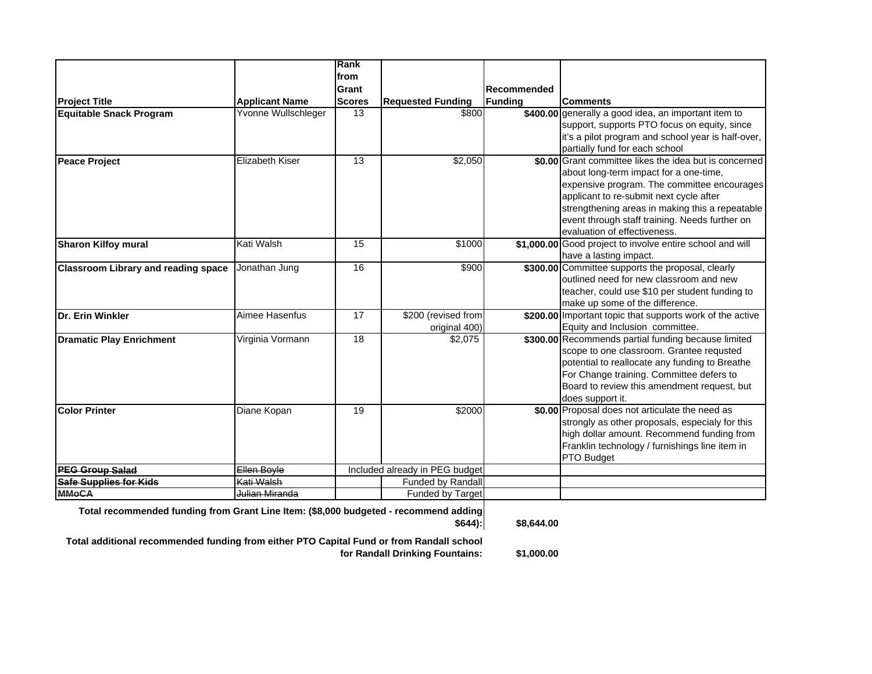|                                                                                      |                        | Rank          |                                |             |                                                                                               |
|--------------------------------------------------------------------------------------|------------------------|---------------|--------------------------------|-------------|-----------------------------------------------------------------------------------------------|
|                                                                                      |                        | from          |                                |             |                                                                                               |
|                                                                                      |                        | Grant         |                                | Recommended |                                                                                               |
| <b>Project Title</b>                                                                 | <b>Applicant Name</b>  | <b>Scores</b> | <b>Requested Funding</b>       | Funding     | <b>Comments</b>                                                                               |
| <b>Equitable Snack Program</b>                                                       | Yvonne Wullschleger    | 13            | \$800                          |             | \$400.00 generally a good idea, an important item to                                          |
|                                                                                      |                        |               |                                |             | support, supports PTO focus on equity, since                                                  |
|                                                                                      |                        |               |                                |             | it's a pilot program and school year is half-over,                                            |
|                                                                                      |                        |               |                                |             | partially fund for each school                                                                |
| <b>Peace Project</b>                                                                 | <b>Elizabeth Kiser</b> | 13            | \$2,050                        |             | \$0.00 Grant committee likes the idea but is concerned                                        |
|                                                                                      |                        |               |                                |             | about long-term impact for a one-time,                                                        |
|                                                                                      |                        |               |                                |             | expensive program. The committee encourages                                                   |
|                                                                                      |                        |               |                                |             | applicant to re-submit next cycle after                                                       |
|                                                                                      |                        |               |                                |             | strengthening areas in making this a repeatable                                               |
|                                                                                      |                        |               |                                |             | event through staff training. Needs further on                                                |
|                                                                                      |                        |               |                                |             | evaluation of effectiveness.                                                                  |
| <b>Sharon Kilfoy mural</b>                                                           | Kati Walsh             | 15            | \$1000                         |             | \$1,000.00 Good project to involve entire school and will                                     |
|                                                                                      |                        |               |                                |             | have a lasting impact.                                                                        |
| <b>Classroom Library and reading space</b>                                           | Jonathan Jung          | 16            | \$900                          |             | \$300.00 Committee supports the proposal, clearly                                             |
|                                                                                      |                        |               |                                |             | outlined need for new classroom and new                                                       |
|                                                                                      |                        |               |                                |             | teacher, could use \$10 per student funding to                                                |
|                                                                                      |                        |               |                                |             | make up some of the difference.                                                               |
| Dr. Erin Winkler                                                                     | Aimee Hasenfus         | 17            | \$200 (revised from            |             | \$200.00 Important topic that supports work of the active                                     |
|                                                                                      |                        |               | original 400)                  |             | Equity and Inclusion committee.                                                               |
| <b>Dramatic Play Enrichment</b>                                                      | Virginia Vormann       | 18            | \$2,075                        |             | \$300.00 Recommends partial funding because limited                                           |
|                                                                                      |                        |               |                                |             | scope to one classroom. Grantee requsted                                                      |
|                                                                                      |                        |               |                                |             | potential to reallocate any funding to Breathe                                                |
|                                                                                      |                        |               |                                |             | For Change training. Committee defers to                                                      |
|                                                                                      |                        |               |                                |             | Board to review this amendment request, but                                                   |
|                                                                                      |                        |               |                                |             | does support it.                                                                              |
| <b>Color Printer</b>                                                                 | Diane Kopan            | 19            | \$2000                         |             | \$0.00 Proposal does not articulate the need as                                               |
|                                                                                      |                        |               |                                |             | strongly as other proposals, especialy for this<br>high dollar amount. Recommend funding from |
|                                                                                      |                        |               |                                |             | Franklin technology / furnishings line item in                                                |
|                                                                                      |                        |               |                                |             | PTO Budget                                                                                    |
| <b>PEG Group Salad</b>                                                               | Ellen Boyle            |               | Included already in PEG budget |             |                                                                                               |
| <b>Safe Supplies for Kids</b>                                                        | Kati Walsh             |               | <b>Funded by Randall</b>       |             |                                                                                               |
| <b>MMoCA</b>                                                                         | Julian Miranda         |               | Funded by Target               |             |                                                                                               |
|                                                                                      |                        |               |                                |             |                                                                                               |
| Total recommended funding from Grant Line Item: (\$8,000 budgeted - recommend adding |                        |               |                                |             |                                                                                               |
|                                                                                      |                        |               | $$644$ :                       | \$8.644.00  |                                                                                               |
|                                                                                      |                        |               |                                |             |                                                                                               |

**Total additional recommended funding from either PTO Capital Fund or from Randall school for Randall Drinking Fountains:**

**\$1,000.00**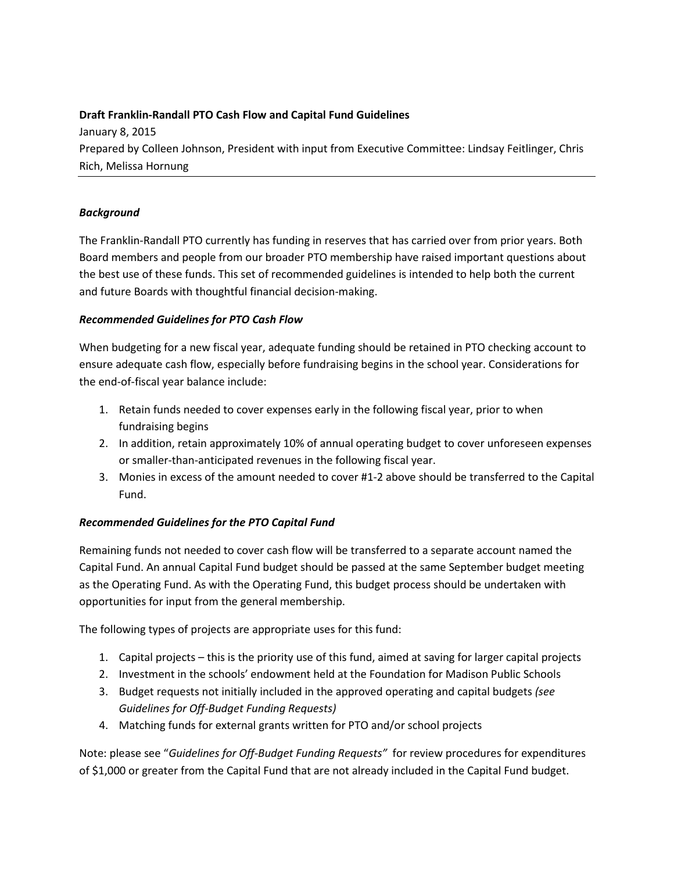## **Draft Franklin-Randall PTO Cash Flow and Capital Fund Guidelines**

January 8, 2015 Prepared by Colleen Johnson, President with input from Executive Committee: Lindsay Feitlinger, Chris Rich, Melissa Hornung

### *Background*

The Franklin-Randall PTO currently has funding in reserves that has carried over from prior years. Both Board members and people from our broader PTO membership have raised important questions about the best use of these funds. This set of recommended guidelines is intended to help both the current and future Boards with thoughtful financial decision-making.

#### *Recommended Guidelines for PTO Cash Flow*

When budgeting for a new fiscal year, adequate funding should be retained in PTO checking account to ensure adequate cash flow, especially before fundraising begins in the school year. Considerations for the end-of-fiscal year balance include:

- 1. Retain funds needed to cover expenses early in the following fiscal year, prior to when fundraising begins
- 2. In addition, retain approximately 10% of annual operating budget to cover unforeseen expenses or smaller-than-anticipated revenues in the following fiscal year.
- 3. Monies in excess of the amount needed to cover #1-2 above should be transferred to the Capital Fund.

# *Recommended Guidelines for the PTO Capital Fund*

Remaining funds not needed to cover cash flow will be transferred to a separate account named the Capital Fund. An annual Capital Fund budget should be passed at the same September budget meeting as the Operating Fund. As with the Operating Fund, this budget process should be undertaken with opportunities for input from the general membership.

The following types of projects are appropriate uses for this fund:

- 1. Capital projects this is the priority use of this fund, aimed at saving for larger capital projects
- 2. Investment in the schools' endowment held at the Foundation for Madison Public Schools
- 3. Budget requests not initially included in the approved operating and capital budgets *(see Guidelines for Off-Budget Funding Requests)*
- 4. Matching funds for external grants written for PTO and/or school projects

Note: please see "*Guidelines for Off-Budget Funding Requests"* for review procedures for expenditures of \$1,000 or greater from the Capital Fund that are not already included in the Capital Fund budget.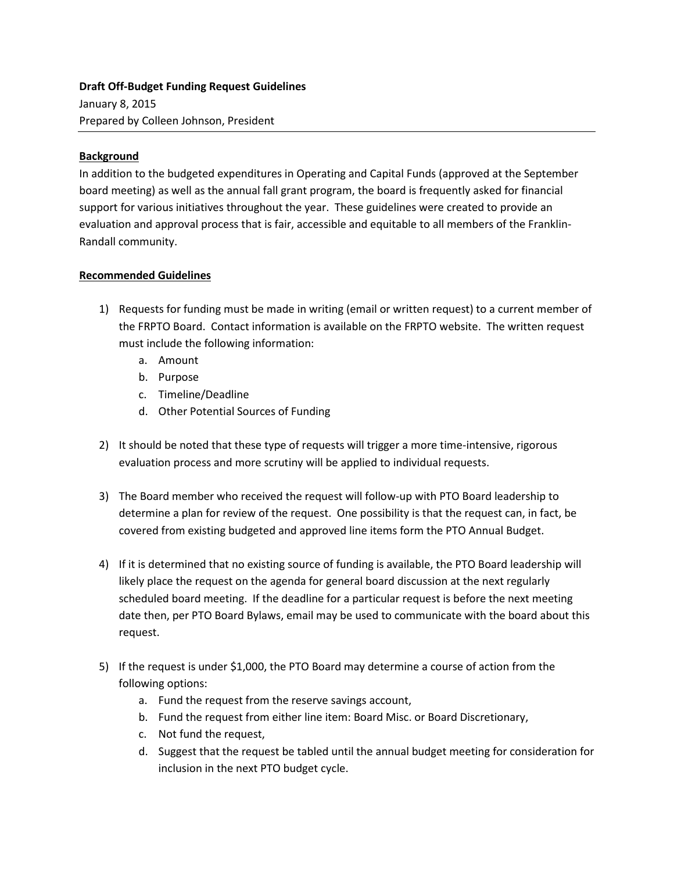# **Draft Off-Budget Funding Request Guidelines** January 8, 2015 Prepared by Colleen Johnson, President

#### **Background**

In addition to the budgeted expenditures in Operating and Capital Funds (approved at the September board meeting) as well as the annual fall grant program, the board is frequently asked for financial support for various initiatives throughout the year. These guidelines were created to provide an evaluation and approval process that is fair, accessible and equitable to all members of the Franklin-Randall community.

#### **Recommended Guidelines**

- 1) Requests for funding must be made in writing (email or written request) to a current member of the FRPTO Board. Contact information is available on the FRPTO website. The written request must include the following information:
	- a. Amount
	- b. Purpose
	- c. Timeline/Deadline
	- d. Other Potential Sources of Funding
- 2) It should be noted that these type of requests will trigger a more time-intensive, rigorous evaluation process and more scrutiny will be applied to individual requests.
- 3) The Board member who received the request will follow-up with PTO Board leadership to determine a plan for review of the request. One possibility is that the request can, in fact, be covered from existing budgeted and approved line items form the PTO Annual Budget.
- 4) If it is determined that no existing source of funding is available, the PTO Board leadership will likely place the request on the agenda for general board discussion at the next regularly scheduled board meeting. If the deadline for a particular request is before the next meeting date then, per PTO Board Bylaws, email may be used to communicate with the board about this request.
- 5) If the request is under \$1,000, the PTO Board may determine a course of action from the following options:
	- a. Fund the request from the reserve savings account,
	- b. Fund the request from either line item: Board Misc. or Board Discretionary,
	- c. Not fund the request,
	- d. Suggest that the request be tabled until the annual budget meeting for consideration for inclusion in the next PTO budget cycle.